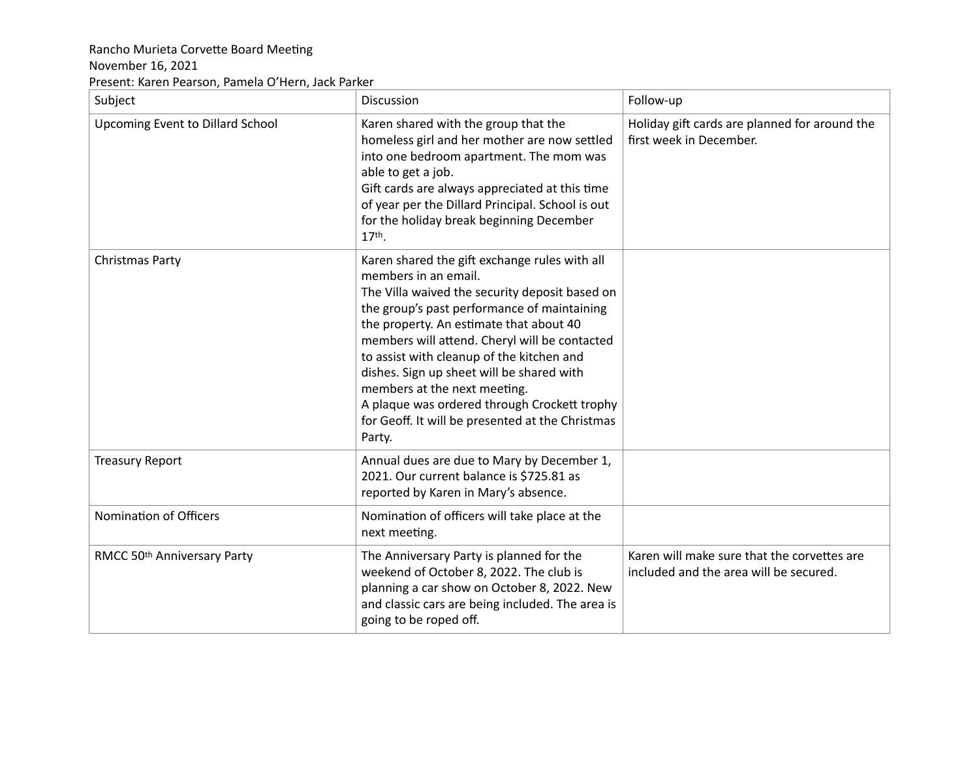## Rancho Murieta Corvette Board Meeting

## November 16, 2021

Present: Karen Pearson, Pamela O'Hern, Jack Parker

| Subject                          | Discussion                                                                                                                                                                                                                                                                                                                                                                                                                                                                                                 | Follow-up                                                                             |
|----------------------------------|------------------------------------------------------------------------------------------------------------------------------------------------------------------------------------------------------------------------------------------------------------------------------------------------------------------------------------------------------------------------------------------------------------------------------------------------------------------------------------------------------------|---------------------------------------------------------------------------------------|
| Upcoming Event to Dillard School | Karen shared with the group that the<br>homeless girl and her mother are now settled<br>into one bedroom apartment. The mom was<br>able to get a job.<br>Gift cards are always appreciated at this time<br>of year per the Dillard Principal. School is out<br>for the holiday break beginning December<br>17th.                                                                                                                                                                                           | Holiday gift cards are planned for around the<br>first week in December.              |
| Christmas Party                  | Karen shared the gift exchange rules with all<br>members in an email.<br>The Villa waived the security deposit based on<br>the group's past performance of maintaining<br>the property. An estimate that about 40<br>members will attend. Cheryl will be contacted<br>to assist with cleanup of the kitchen and<br>dishes. Sign up sheet will be shared with<br>members at the next meeting.<br>A plaque was ordered through Crockett trophy<br>for Geoff. It will be presented at the Christmas<br>Party. |                                                                                       |
| <b>Treasury Report</b>           | Annual dues are due to Mary by December 1,<br>2021. Our current balance is \$725.81 as<br>reported by Karen in Mary's absence.                                                                                                                                                                                                                                                                                                                                                                             |                                                                                       |
| Nomination of Officers           | Nomination of officers will take place at the<br>next meeting.                                                                                                                                                                                                                                                                                                                                                                                                                                             |                                                                                       |
| RMCC 50th Anniversary Party      | The Anniversary Party is planned for the<br>weekend of October 8, 2022. The club is<br>planning a car show on October 8, 2022. New<br>and classic cars are being included. The area is<br>going to be roped off.                                                                                                                                                                                                                                                                                           | Karen will make sure that the corvettes are<br>included and the area will be secured. |